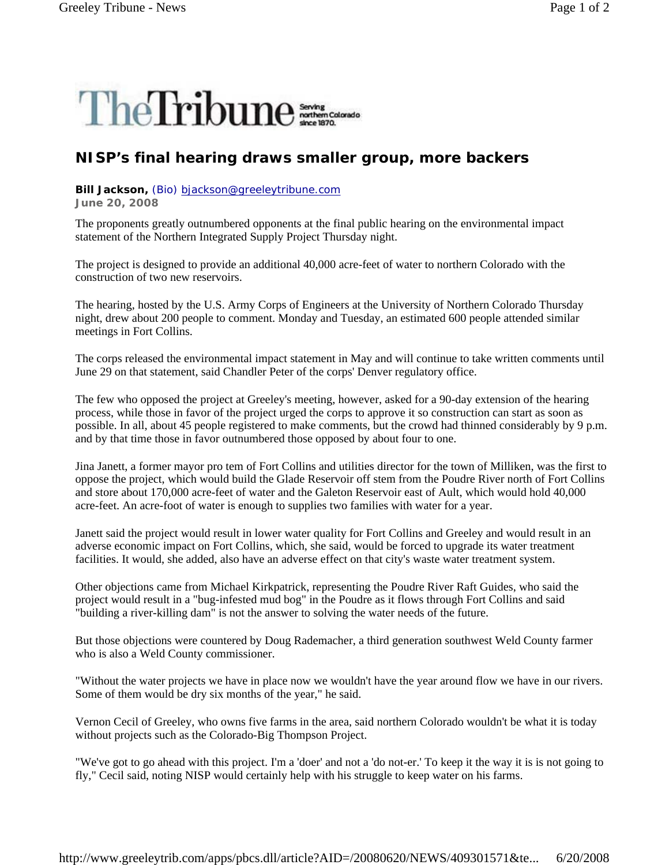

## **NISP's final hearing draws smaller group, more backers**

## **Bill Jackson,** (Bio) bjackson@greeleytribune.com

**June 20, 2008**

The proponents greatly outnumbered opponents at the final public hearing on the environmental impact statement of the Northern Integrated Supply Project Thursday night.

The project is designed to provide an additional 40,000 acre-feet of water to northern Colorado with the construction of two new reservoirs.

The hearing, hosted by the U.S. Army Corps of Engineers at the University of Northern Colorado Thursday night, drew about 200 people to comment. Monday and Tuesday, an estimated 600 people attended similar meetings in Fort Collins.

The corps released the environmental impact statement in May and will continue to take written comments until June 29 on that statement, said Chandler Peter of the corps' Denver regulatory office.

The few who opposed the project at Greeley's meeting, however, asked for a 90-day extension of the hearing process, while those in favor of the project urged the corps to approve it so construction can start as soon as possible. In all, about 45 people registered to make comments, but the crowd had thinned considerably by 9 p.m. and by that time those in favor outnumbered those opposed by about four to one.

Jina Janett, a former mayor pro tem of Fort Collins and utilities director for the town of Milliken, was the first to oppose the project, which would build the Glade Reservoir off stem from the Poudre River north of Fort Collins and store about 170,000 acre-feet of water and the Galeton Reservoir east of Ault, which would hold 40,000 acre-feet. An acre-foot of water is enough to supplies two families with water for a year.

Janett said the project would result in lower water quality for Fort Collins and Greeley and would result in an adverse economic impact on Fort Collins, which, she said, would be forced to upgrade its water treatment facilities. It would, she added, also have an adverse effect on that city's waste water treatment system.

Other objections came from Michael Kirkpatrick, representing the Poudre River Raft Guides, who said the project would result in a "bug-infested mud bog" in the Poudre as it flows through Fort Collins and said "building a river-killing dam" is not the answer to solving the water needs of the future.

But those objections were countered by Doug Rademacher, a third generation southwest Weld County farmer who is also a Weld County commissioner.

"Without the water projects we have in place now we wouldn't have the year around flow we have in our rivers. Some of them would be dry six months of the year," he said.

Vernon Cecil of Greeley, who owns five farms in the area, said northern Colorado wouldn't be what it is today without projects such as the Colorado-Big Thompson Project.

"We've got to go ahead with this project. I'm a 'doer' and not a 'do not-er.' To keep it the way it is is not going to fly," Cecil said, noting NISP would certainly help with his struggle to keep water on his farms.